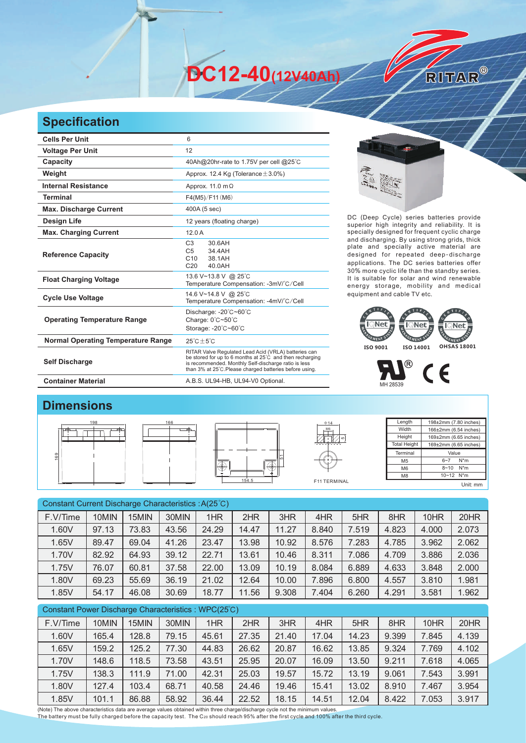**DC12-40(12V40Ah)** 

## **Specification**

| <b>Cells Per Unit</b>                     | 6                                                                                                                                                                                                                                   |  |  |  |  |  |
|-------------------------------------------|-------------------------------------------------------------------------------------------------------------------------------------------------------------------------------------------------------------------------------------|--|--|--|--|--|
| <b>Voltage Per Unit</b>                   | 12                                                                                                                                                                                                                                  |  |  |  |  |  |
| Capacity                                  | 40Ah@20hr-rate to 1.75V per cell @25°C                                                                                                                                                                                              |  |  |  |  |  |
| Weight                                    | Approx. 12.4 Kg (Tolerance $\pm$ 3.0%)                                                                                                                                                                                              |  |  |  |  |  |
| <b>Internal Resistance</b>                | Approx. 11.0 m $\Omega$                                                                                                                                                                                                             |  |  |  |  |  |
| <b>Terminal</b>                           | F4(M5)/F11(M6)                                                                                                                                                                                                                      |  |  |  |  |  |
| <b>Max. Discharge Current</b>             | 400A (5 sec)                                                                                                                                                                                                                        |  |  |  |  |  |
| Design Life                               | 12 years (floating charge)                                                                                                                                                                                                          |  |  |  |  |  |
| <b>Max. Charging Current</b>              | 12.0A                                                                                                                                                                                                                               |  |  |  |  |  |
| <b>Reference Capacity</b>                 | C <sub>3</sub><br>30.6AH<br>C <sub>5</sub><br>34.4AH<br>C <sub>10</sub><br>38.1AH<br>C <sub>20</sub><br>40.0AH                                                                                                                      |  |  |  |  |  |
| <b>Float Charging Voltage</b>             | 13.6 V~13.8 V @ 25°C<br>Temperature Compensation: -3mV/°C/Cell                                                                                                                                                                      |  |  |  |  |  |
| <b>Cycle Use Voltage</b>                  | 14.6 V~14.8 V @ 25°C<br>Temperature Compensation: -4mV/°C/Cell                                                                                                                                                                      |  |  |  |  |  |
| <b>Operating Temperature Range</b>        | Discharge: -20°C~60°C<br>Charge: 0°C~50°C<br>Storage: -20°C~60°C                                                                                                                                                                    |  |  |  |  |  |
| <b>Normal Operating Temperature Range</b> | $25^{\circ}$ C + 5 $^{\circ}$ C                                                                                                                                                                                                     |  |  |  |  |  |
| <b>Self Discharge</b>                     | RITAR Valve Regulated Lead Acid (VRLA) batteries can<br>be stored for up to 6 months at 25°C and then recharging<br>is recommended. Monthly Self-discharge ratio is less<br>than 3% at 25°C. Please charged batteries before using. |  |  |  |  |  |
| <b>Container Material</b>                 | A.B.S. UL94-HB, UL94-V0 Optional.                                                                                                                                                                                                   |  |  |  |  |  |

RITAR®

DC (Deep Cycle) series batteries provide superior high integrity and reliability. It is specially designed for frequent cyclic charge and discharging. By using strong grids, thick plate and specially active material are designed for repeated deep-discharge applications. The DC series batteries offer 30% more cyclic life than the standby series. It is suitable for solar and wind renewable energy storage, mobility and medical equipment and cable TV etc.





## **Dimensions**









| Length              | 198±2mm (7.80 inches)      |  |  |  |  |  |
|---------------------|----------------------------|--|--|--|--|--|
| Width               | 166±2mm (6.54 inches)      |  |  |  |  |  |
| Height              | 169±2mm (6.65 inches)      |  |  |  |  |  |
| <b>Total Height</b> | 169±2mm (6.65 inches)      |  |  |  |  |  |
| Terminal            | Value                      |  |  |  |  |  |
| M <sub>5</sub>      | $N^*m$<br>$6 - 7$          |  |  |  |  |  |
| M <sub>6</sub>      | $N^*m$<br>$8 - 10$         |  |  |  |  |  |
| M <sub>8</sub>      | $10 - 12$ N <sup>*</sup> m |  |  |  |  |  |
|                     | Unit: mm                   |  |  |  |  |  |

| Constant Current Discharge Characteristics : A(25°C) |       |       |       |       |       |       |       |       |       |       |       |
|------------------------------------------------------|-------|-------|-------|-------|-------|-------|-------|-------|-------|-------|-------|
| F.V/Time                                             | 10MIN | 15MIN | 30MIN | 1HR   | 2HR   | 3HR   | 4HR   | 5HR   | 8HR   | 10HR  | 20HR  |
| 1.60V                                                | 97.13 | 73.83 | 43.56 | 24.29 | 14.47 | 11.27 | 8.840 | 7.519 | 4.823 | 4.000 | 2.073 |
| 1.65V                                                | 89.47 | 69.04 | 41.26 | 23.47 | 13.98 | 10.92 | 8.576 | 7.283 | 4.785 | 3.962 | 2.062 |
| 1.70V                                                | 82.92 | 64.93 | 39.12 | 22.71 | 13.61 | 10.46 | 8.311 | 7.086 | 4.709 | 3.886 | 2.036 |
| 1.75V                                                | 76.07 | 60.81 | 37.58 | 22.00 | 13.09 | 10.19 | 8.084 | 6.889 | 4.633 | 3.848 | 2.000 |
| 1.80V                                                | 69.23 | 55.69 | 36.19 | 21.02 | 12.64 | 10.00 | 7.896 | 6.800 | 4.557 | 3.810 | 1.981 |
| 1.85V                                                | 54.17 | 46.08 | 30.69 | 18.77 | 11.56 | 9.308 | 7.404 | 6.260 | 4.291 | 3.581 | 1.962 |
| Constant Power Discharge Characteristics: WPC(25°C)  |       |       |       |       |       |       |       |       |       |       |       |

| F.V/Time | 10MIN | 15MIN | 30MIN | 1HR   | 2HR   | 3HR   | 4HR   | 5HR   | 8HR   | 10HR  | 20HR  |
|----------|-------|-------|-------|-------|-------|-------|-------|-------|-------|-------|-------|
| 1.60V    | 165.4 | 128.8 | 79.15 | 45.61 | 27.35 | 21.40 | 17.04 | 14.23 | 9.399 | 7.845 | 4.139 |
| 1.65V    | 159.2 | 125.2 | 77.30 | 44.83 | 26.62 | 20.87 | 16.62 | 13.85 | 9.324 | 7.769 | 4.102 |
| 1.70V    | 148.6 | 118.5 | 73.58 | 43.51 | 25.95 | 20.07 | 16.09 | 13.50 | 9.211 | 7.618 | 4.065 |
| 1.75V    | 138.3 | 111.9 | 71.00 | 42.31 | 25.03 | 19.57 | 15.72 | 13.19 | 9.061 | 7.543 | 3.991 |
| 1.80V    | 127.4 | 103.4 | 68.71 | 40.58 | 24.46 | 19.46 | 15.41 | 13.02 | 8.910 | 7.467 | 3.954 |
| 1.85V    | 101.1 | 86.88 | 58.92 | 36.44 | 22.52 | 18.15 | 14.51 | 12.04 | 8.422 | 7.053 | 3.917 |

(Note) The above characteristics data are average values obtained within three charge/discharge cycle not the minimum values.<br>The battery must be fully charged before the capacity test. The C20 should reach 95% after the